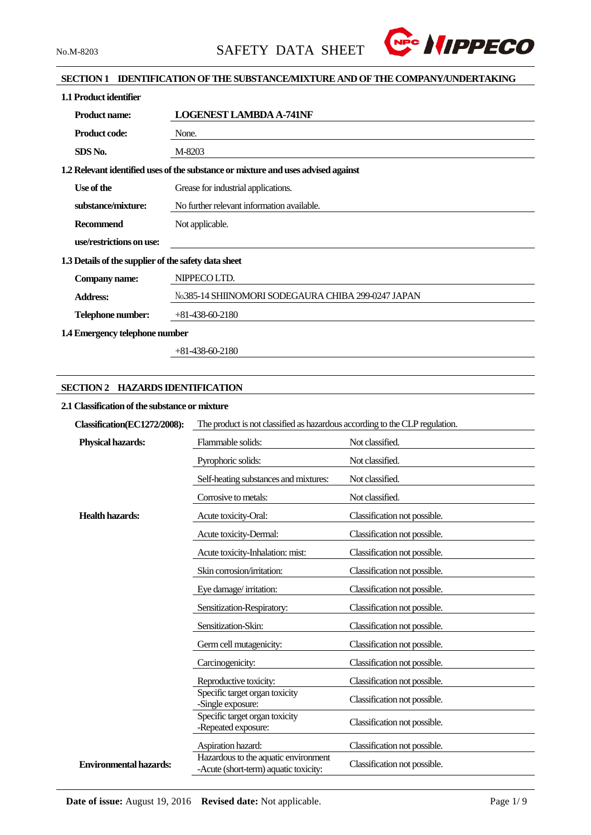

### **SECTION 1 IDENTIFICATION OF THE SUBSTANCE/MIXTURE AND OF THE COMPANY/UNDERTAKING**

| 1.1 Product identifier                               |                                                                                   |
|------------------------------------------------------|-----------------------------------------------------------------------------------|
| <b>Product name:</b>                                 | <b>LOGENEST LAMBDA A-741NF</b>                                                    |
| <b>Product code:</b>                                 | None.                                                                             |
| SDS No.                                              | M-8203                                                                            |
|                                                      | 1.2 Relevant identified uses of the substance or mixture and uses advised against |
| Use of the                                           | Grease for industrial applications.                                               |
| substance/mixture:                                   | No further relevant information available.                                        |
| <b>Recommend</b>                                     | Not applicable.                                                                   |
| use/restrictions on use:                             |                                                                                   |
| 1.3 Details of the supplier of the safety data sheet |                                                                                   |
| Company name:                                        | NIPPECO LTD.                                                                      |
| <b>Address:</b>                                      | No.385-14 SHIINOMORI SODEGAURA CHIBA 299-0247 JAPAN                               |
| Telephone number:                                    | $+81-438-60-2180$                                                                 |
| 1.4 Emergency telephone number                       |                                                                                   |

+81-438-60-2180

### **SECTION 2 HAZARDS IDENTIFICATION**

#### **2.1 Classification of the substance or mixture**

| Classification(EC1272/2008):  | The product is not classified as hazardous according to the CLP regulation.   |                              |  |  |
|-------------------------------|-------------------------------------------------------------------------------|------------------------------|--|--|
| <b>Physical hazards:</b>      | Flammable solids:                                                             | Not classified.              |  |  |
|                               | Pyrophoric solids:                                                            | Not classified.              |  |  |
|                               | Self-heating substances and mixtures:                                         | Not classified.              |  |  |
|                               | Corrosive to metals:                                                          | Not classified.              |  |  |
| <b>Health hazards:</b>        | Acute toxicity-Oral:                                                          | Classification not possible. |  |  |
|                               | Acute toxicity-Dermal:                                                        | Classification not possible. |  |  |
|                               | Acute toxicity-Inhalation: mist:                                              | Classification not possible. |  |  |
|                               | Skin corrosion/irritation:                                                    | Classification not possible. |  |  |
|                               | Eye damage/irritation:                                                        | Classification not possible. |  |  |
|                               | Sensitization-Respiratory:                                                    | Classification not possible. |  |  |
|                               | Sensitization-Skin:                                                           | Classification not possible. |  |  |
|                               | Germ cell mutagenicity:                                                       | Classification not possible. |  |  |
|                               | Carcinogenicity:                                                              | Classification not possible. |  |  |
|                               | Reproductive toxicity:                                                        | Classification not possible. |  |  |
|                               | Specific target organ toxicity<br>-Single exposure:                           | Classification not possible. |  |  |
|                               | Specific target organ toxicity<br>-Repeated exposure:                         | Classification not possible. |  |  |
|                               | Aspiration hazard:                                                            | Classification not possible. |  |  |
| <b>Environmental hazards:</b> | Hazardous to the aquatic environment<br>-Acute (short-term) aquatic toxicity: | Classification not possible. |  |  |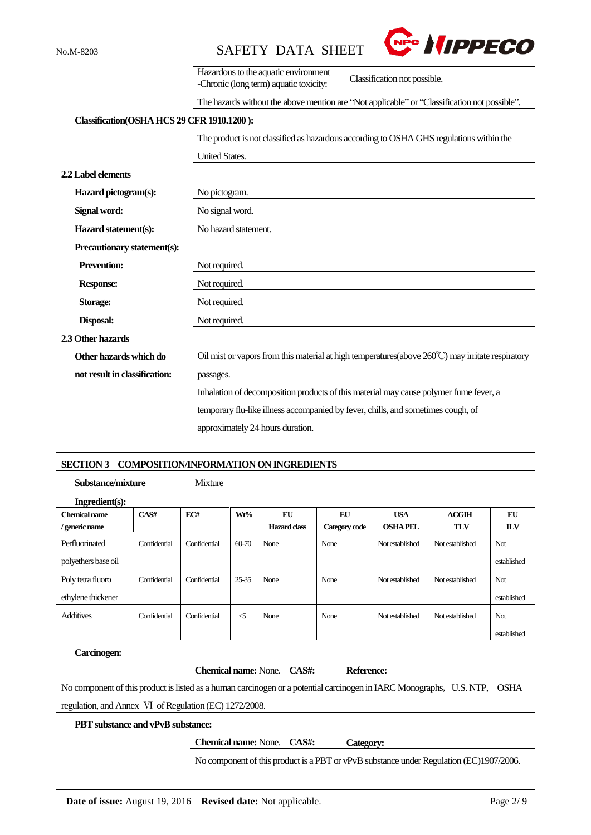

|                                            | Hazardous to the aquatic environment<br>Classification not possible.<br>-Chronic (long term) aquatic toxicity: |  |  |  |  |
|--------------------------------------------|----------------------------------------------------------------------------------------------------------------|--|--|--|--|
|                                            | The hazards without the above mention are "Not applicable" or "Classification not possible".                   |  |  |  |  |
| Classification(OSHA HCS 29 CFR 1910.1200): |                                                                                                                |  |  |  |  |
|                                            | The product is not classified as hazardous according to OSHA GHS regulations within the                        |  |  |  |  |
|                                            | <b>United States.</b>                                                                                          |  |  |  |  |
| 2.2 Label elements                         |                                                                                                                |  |  |  |  |
| Hazard pictogram(s):                       | No pictogram.                                                                                                  |  |  |  |  |
| Signal word:                               | No signal word.                                                                                                |  |  |  |  |
| Hazard statement(s):                       | No hazard statement.                                                                                           |  |  |  |  |
| Precautionary statement(s):                |                                                                                                                |  |  |  |  |
| <b>Prevention:</b>                         | Not required.                                                                                                  |  |  |  |  |
| <b>Response:</b>                           | Not required.                                                                                                  |  |  |  |  |
| Storage:                                   | Not required.                                                                                                  |  |  |  |  |
| Disposal:                                  | Not required.                                                                                                  |  |  |  |  |
| 2.3 Other hazards                          |                                                                                                                |  |  |  |  |
| Other hazards which do                     | Oil mist or vapors from this material at high temperatures(above 260°C) may irritate respiratory               |  |  |  |  |
| not result in classification:              | passages.                                                                                                      |  |  |  |  |
|                                            | Inhalation of decomposition products of this material may cause polymer fume fever, a                          |  |  |  |  |
|                                            | temporary flu-like illness accompanied by fever, chills, and sometimes cough, of                               |  |  |  |  |
|                                            | approximately 24 hours duration.                                                                               |  |  |  |  |
|                                            |                                                                                                                |  |  |  |  |

#### **SECTION 3 COMPOSITION/INFORMATION ON INGREDIENTS**

**Substance/mixture** Mixture

| Ingradient(s):       |              |              |           |              |               |                 |                 |             |
|----------------------|--------------|--------------|-----------|--------------|---------------|-----------------|-----------------|-------------|
| <b>Chemical name</b> | CAS#         | EC#          | Wt%       | EU           | EU            | <b>USA</b>      | ACGIH           | EU          |
| / generic name       |              |              |           | Hazard class | Category code | <b>OSHA PEL</b> | <b>TLV</b>      | <b>ILV</b>  |
| Perfluorinated       | Confidential | Confidential | $60 - 70$ | None         | None          | Not established | Not established | Not         |
| polyethers base oil  |              |              |           |              |               |                 |                 | established |
| Poly tetra fluoro    | Confidential | Confidential | $25 - 35$ | None         | None          | Not established | Not established | Not         |
| ethylene thickener   |              |              |           |              |               |                 |                 | established |
| <b>Additives</b>     | Confidential | Confidential | $\leq$ 5  | None         | None          | Not established | Not established | Not         |
|                      |              |              |           |              |               |                 |                 | established |

# **Carcinogen:**

|                                                                                                                           | <b>Chemical name:</b> None. <b>CAS#</b> : | Reference: |  |
|---------------------------------------------------------------------------------------------------------------------------|-------------------------------------------|------------|--|
| No component of this product is listed as a human carcinogen or a potential carcinogen in IARC Monographs, U.S. NTP, OSHA |                                           |            |  |
| regulation, and Annex VI of Regulation (EC) 1272/2008.                                                                    |                                           |            |  |
| <b>PBT</b> substance and vPvB substance:                                                                                  |                                           |            |  |
|                                                                                                                           | <b>Chemical name:</b> None. <b>CAS#:</b>  | Category:  |  |

No component of this product is a PBT or vPvB substance under Regulation (EC)1907/2006.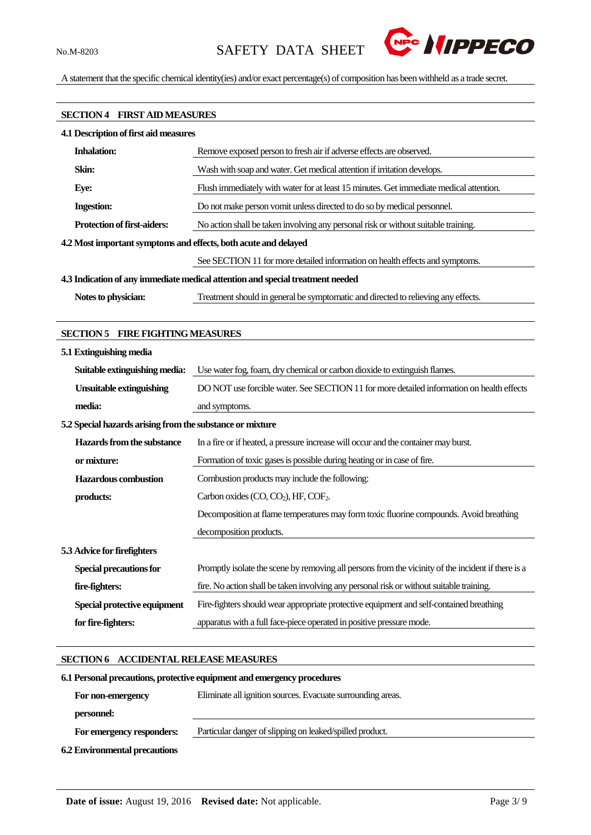

A statement that the specific chemical identity(ies) and/or exact percentage(s) of composition has been withheld as a trade secret.

# **SECTION 4 FIRST AID MEASURES 4.1 Description of first aid measures Inhalation:** Remove exposed person to fresh air if adverse effects are observed. **Skin:** Wash with soap and water. Get medical attention if irritation develops. **Eye:** Flush immediately with water for at least 15 minutes. Get immediate medical attention. **Ingestion:** Do not make person vomit unless directed to do so by medical personnel. **Protection of first-aiders:** No action shall be taken involving any personal risk or without suitable training. **4.2Most important symptoms and effects, both acute and delayed** See SECTION 11 for more detailed information on health effects and symptoms. **4.3 Indication of any immediate medical attention and special treatment needed Notes to physician:** Treatment should in general be symptomatic and directed to relieving any effects.

#### **SECTION 5 FIRE FIGHTING MEASURES**

| 5.1 Extinguishing media                                   |                                                                                                    |
|-----------------------------------------------------------|----------------------------------------------------------------------------------------------------|
| Suitable extinguishing media:                             | Use water fog, foam, dry chemical or carbon dioxide to extinguish flames.                          |
| <b>Unsuitable extinguishing</b>                           | DO NOT use forcible water. See SECTION 11 for more detailed information on health effects          |
| media:                                                    | and symptoms.                                                                                      |
| 5.2 Special hazards arising from the substance or mixture |                                                                                                    |
| Hazards from the substance                                | In a fire or if heated, a pressure increase will occur and the container may burst.                |
| or mixture:                                               | Formation of toxic gases is possible during heating or in case of fire.                            |
| <b>Hazardous</b> combustion                               | Combustion products may include the following:                                                     |
| products:                                                 | Carbon oxides $(CO, CO2)$ , HF, $COF2$ .                                                           |
|                                                           | Decomposition at flame temperatures may form toxic fluorine compounds. Avoid breathing             |
|                                                           | decomposition products.                                                                            |
| 5.3 Advice for firefighters                               |                                                                                                    |
| <b>Special precautions for</b>                            | Promptly isolate the scene by removing all persons from the vicinity of the incident if there is a |
| fire-fighters:                                            | fire. No action shall be taken involving any personal risk or without suitable training.           |
| Special protective equipment                              | Fire-fighters should wear appropriate protective equipment and self-contained breathing            |
| for fire-fighters:                                        | apparatus with a full face-piece operated in positive pressure mode.                               |

#### **SECTION 6 ACCIDENTAL RELEASE MEASURES**

# **6.1Personal precautions, protective equipment and emergency procedures For non-emergency personnel:** Eliminate all ignition sources. Evacuate surrounding areas.  **For emergency responders:** Particular danger of slipping on leaked/spilled product. **6.2 Environmental precautions**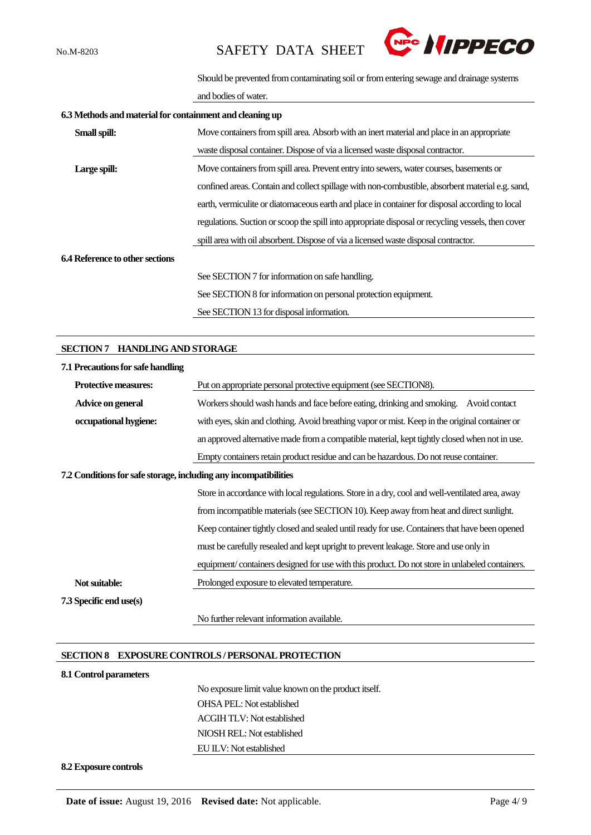

Should be prevented from contaminating soil or from entering sewage and drainage systems

and bodies of water.

| 6.3 Methods and material for containment and cleaning up |                                                                                                    |  |  |  |  |
|----------------------------------------------------------|----------------------------------------------------------------------------------------------------|--|--|--|--|
| Small spill:                                             | Move containers from spill area. Absorb with an inert material and place in an appropriate         |  |  |  |  |
|                                                          | waste disposal container. Dispose of via a licensed waste disposal contractor.                     |  |  |  |  |
| Large spill:                                             | Move containers from spill area. Prevent entry into sewers, water courses, basements or            |  |  |  |  |
|                                                          | confined areas. Contain and collect spillage with non-combustible, absorbent material e.g. sand,   |  |  |  |  |
|                                                          | earth, vermiculite or diatomaceous earth and place in container for disposal according to local    |  |  |  |  |
|                                                          | regulations. Suction or scoop the spill into appropriate disposal or recycling vessels, then cover |  |  |  |  |
|                                                          | spill area with oil absorbent. Dispose of via a licensed waste disposal contractor.                |  |  |  |  |
| <b>6.4 Reference to other sections</b>                   |                                                                                                    |  |  |  |  |
|                                                          | See SECTION 7 for information on safe handling.                                                    |  |  |  |  |
|                                                          | See SECTION 8 for information on personal protection equipment.                                    |  |  |  |  |
|                                                          | See SECTION 13 for disposal information.                                                           |  |  |  |  |

#### **SECTION 7 HANDLING AND STORAGE**

| 7.1 Precautions for safe handling                                |                                                                                                 |
|------------------------------------------------------------------|-------------------------------------------------------------------------------------------------|
| <b>Protective measures:</b>                                      | Put on appropriate personal protective equipment (see SECTION8).                                |
| Advice on general                                                | Workers should wash hands and face before eating, drinking and smoking.<br>Avoid contact        |
| occupational hygiene:                                            | with eyes, skin and clothing. Avoid breathing vapor or mist. Keep in the original container or  |
|                                                                  | an approved alternative made from a compatible material, kept tightly closed when not in use.   |
|                                                                  | Empty containers retain product residue and can be hazardous. Do not reuse container.           |
| 7.2 Conditions for safe storage, including any incompatibilities |                                                                                                 |
|                                                                  | Store in accordance with local regulations. Store in a dry, cool and well-ventilated area, away |
|                                                                  | from incompatible materials (see SECTION 10). Keep away from heat and direct sunlight.          |
|                                                                  | Keep container tightly closed and sealed until ready for use. Containers that have been opened  |
|                                                                  | must be carefully resealed and kept upright to prevent leakage. Store and use only in           |
|                                                                  | equipment/containers designed for use with this product. Do not store in unlabeled containers.  |
| Not suitable:                                                    | Prolonged exposure to elevated temperature.                                                     |
| 7.3 Specific end use(s)                                          |                                                                                                 |
|                                                                  | No further relevant information available.                                                      |

#### **SECTION 8 EXPOSURE CONTROLS / PERSONAL PROTECTION**

#### **8.1 Control parameters**

No exposure limit value known on the product itself. OHSA PEL: Not established ACGIH TLV: Not established NIOSH REL: Not established EU ILV: Not established

#### **8.2 Exposure controls**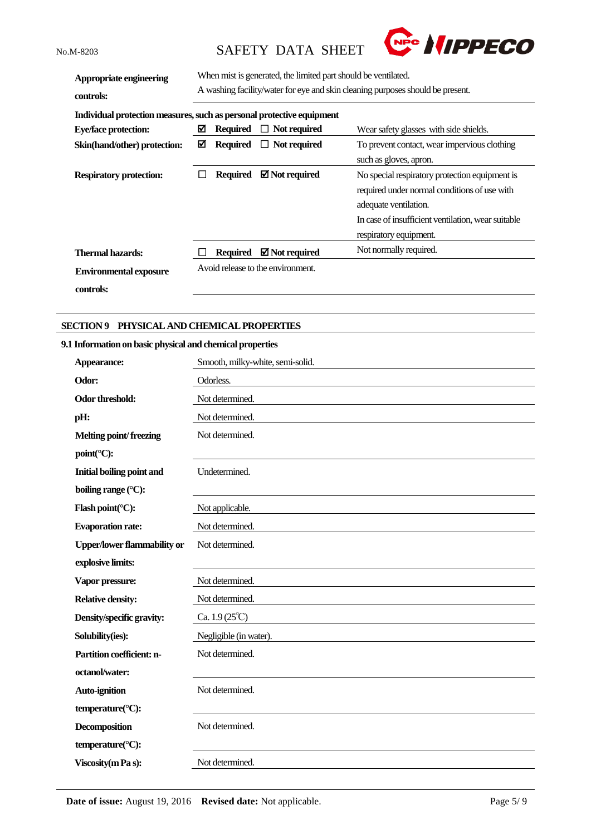

| Appropriate engineering<br>controls:                                  | When mist is generated, the limited part should be ventilated.<br>A washing facility/water for eye and skin cleaning purposes should be present. |                 |                                   |                                                                                                                                                                                                         |
|-----------------------------------------------------------------------|--------------------------------------------------------------------------------------------------------------------------------------------------|-----------------|-----------------------------------|---------------------------------------------------------------------------------------------------------------------------------------------------------------------------------------------------------|
| Individual protection measures, such as personal protective equipment |                                                                                                                                                  |                 |                                   |                                                                                                                                                                                                         |
| <b>Eye/face protection:</b>                                           | ⊠                                                                                                                                                | <b>Required</b> | $\Box$ Not required               | Wear safety glasses with side shields.                                                                                                                                                                  |
| Skin(hand/other) protection:                                          | ⊠                                                                                                                                                | Required        | $\Box$ Not required               | To prevent contact, wear impervious clothing                                                                                                                                                            |
|                                                                       |                                                                                                                                                  |                 |                                   | such as gloves, apron.                                                                                                                                                                                  |
| <b>Respiratory protection:</b>                                        |                                                                                                                                                  | <b>Required</b> | $\boxtimes$ Not required          | No special respiratory protection equipment is<br>required under normal conditions of use with<br>adequate ventilation.<br>In case of insufficient ventilation, wear suitable<br>respiratory equipment. |
| <b>Thermal hazards:</b>                                               |                                                                                                                                                  | <b>Required</b> | $\boxtimes$ Not required          | Not normally required.                                                                                                                                                                                  |
| <b>Environmental exposure</b><br>controls:                            |                                                                                                                                                  |                 | Avoid release to the environment. |                                                                                                                                                                                                         |

#### **SECTION 9 PHYSICAL AND CHEMICAL PROPERTIES**

#### **9.1 Information on basic physical and chemical properties**

| Appearance:                        | Smooth, milky-white, semi-solid. |
|------------------------------------|----------------------------------|
| Odor:                              | Odorless.                        |
| Odor threshold:                    | Not determined.                  |
| pH:                                | Not determined.                  |
| <b>Melting point/freezing</b>      | Not determined.                  |
| point(°C):                         |                                  |
| <b>Initial boiling point and</b>   | Undetermined.                    |
| boiling range (°C):                |                                  |
| Flash point(°C):                   | Not applicable.                  |
| <b>Evaporation rate:</b>           | Not determined.                  |
| <b>Upper/lower flammability or</b> | Not determined.                  |
| explosive limits:                  |                                  |
| Vapor pressure:                    | Not determined.                  |
| <b>Relative density:</b>           | Not determined.                  |
| Density/specific gravity:          | Ca. $1.9(25^{\circ}\text{C})$    |
| Solubility(ies):                   | Negligible (in water).           |
| Partition coefficient: n-          | Not determined.                  |
| octanol/water:                     |                                  |
| Auto-ignition                      | Not determined.                  |
| temperature(°C):                   |                                  |
| <b>Decomposition</b>               | Not determined.                  |
| temperature(°C):                   |                                  |
| Viscosity (m Pa s):                | Not determined.                  |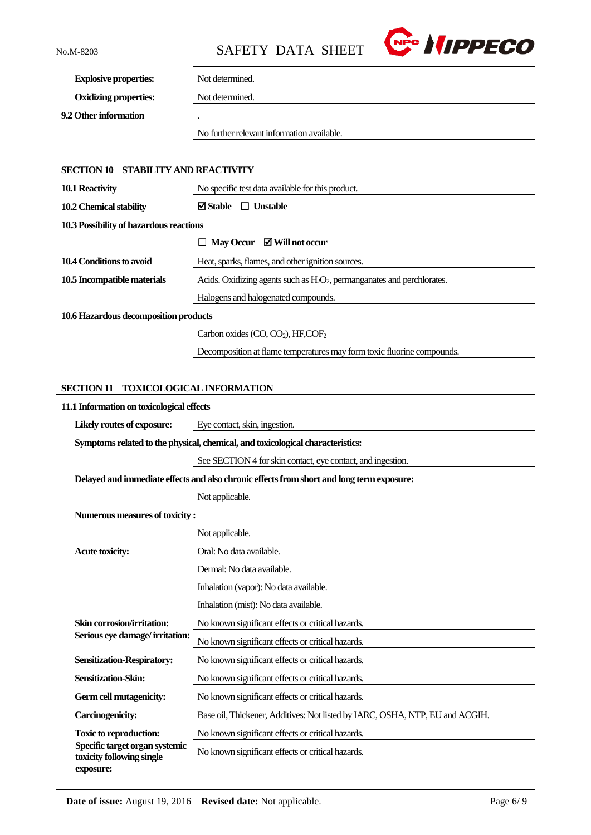

**Explosive properties:** Not determined.

**Oxidizing properties:** Not determined.

**9.2 Other information** .

No further relevant information available.

| SECTION 10 STABILITY AND REACTIVITY                                      |                                                                                           |
|--------------------------------------------------------------------------|-------------------------------------------------------------------------------------------|
| 10.1 Reactivity                                                          | No specific test data available for this product.                                         |
| 10.2 Chemical stability                                                  | $\boxtimes$ Stable $\Box$ Unstable                                                        |
| 10.3 Possibility of hazardous reactions                                  |                                                                                           |
|                                                                          | May Occur $\boxtimes$ Will not occur                                                      |
| 10.4 Conditions to avoid                                                 | Heat, sparks, flames, and other ignition sources.                                         |
| 10.5 Incompatible materials                                              | Acids. Oxidizing agents such as $H_2O_2$ , permanganates and perchlorates.                |
|                                                                          | Halogens and halogenated compounds.                                                       |
| 10.6 Hazardous decomposition products                                    |                                                                                           |
|                                                                          | Carbon oxides (CO, CO <sub>2</sub> ), HF,COF <sub>2</sub>                                 |
|                                                                          | Decomposition at flame temperatures may form toxic fluorine compounds.                    |
|                                                                          |                                                                                           |
| <b>SECTION 11</b>                                                        | <b>TOXICOLOGICAL INFORMATION</b>                                                          |
| 11.1 Information on toxicological effects                                |                                                                                           |
| Likely routes of exposure:                                               | Eye contact, skin, ingestion.                                                             |
|                                                                          | Symptoms related to the physical, chemical, and toxicological characteristics:            |
|                                                                          | See SECTION 4 for skin contact, eye contact, and ingestion.                               |
|                                                                          | Delayed and immediate effects and also chronic effects from short and long term exposure: |
|                                                                          | Not applicable.                                                                           |
| Numerous measures of toxicity:                                           |                                                                                           |
|                                                                          | Not applicable.                                                                           |
| <b>Acute toxicity:</b>                                                   | Oral: No data available.                                                                  |
|                                                                          | Dermal: No data available.                                                                |
|                                                                          | Inhalation (vapor): No data available.                                                    |
|                                                                          | Inhalation (mist): No data available.                                                     |
| Skin corrosion/irritation:                                               | No known significant effects or critical hazards.                                         |
| Serious eye damage/irritation:                                           | No known significant effects or critical hazards.                                         |
| <b>Sensitization-Respiratory:</b>                                        | No known significant effects or critical hazards.                                         |
| Sensitization-Skin:                                                      | No known significant effects or critical hazards.                                         |
| Germ cell mutagenicity:                                                  | No known significant effects or critical hazards.                                         |
| <b>Carcinogenicity:</b>                                                  | Base oil, Thickener, Additives: Not listed by IARC, OSHA, NTP, EU and ACGIH.              |
| <b>Toxic to reproduction:</b>                                            | No known significant effects or critical hazards.                                         |
| Specific target organ systemic<br>toxicity following single<br>exposure: | No known significant effects or critical hazards.                                         |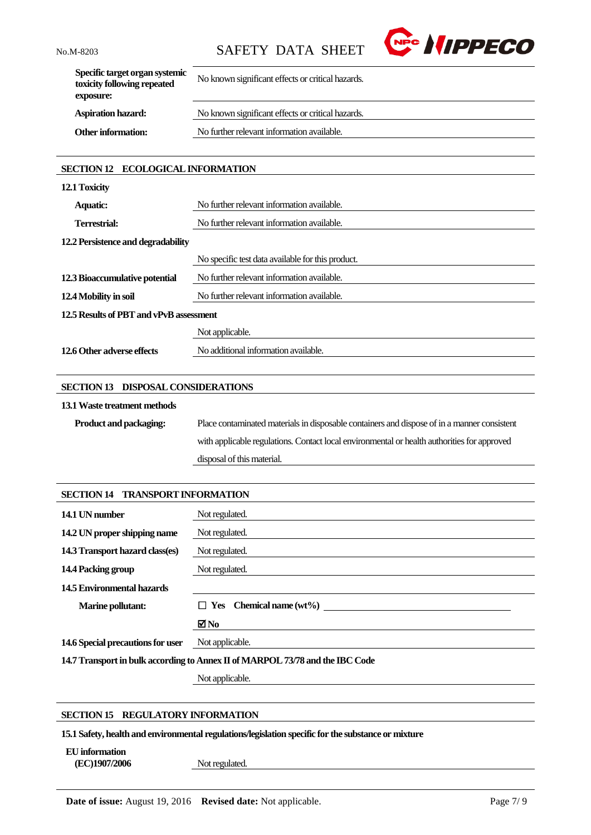

| Specific target organ systemic<br>toxicity following repeated<br>exposure: | No known significant effects or critical hazards. |
|----------------------------------------------------------------------------|---------------------------------------------------|
| <b>Aspiration hazard:</b>                                                  | No known significant effects or critical hazards. |
| <b>Other information:</b>                                                  | No further relevant information available.        |
|                                                                            |                                                   |

# **SECTION 12 ECOLOGICAL INFORMATION**

| 12.1 Toxicity                           |                                                   |
|-----------------------------------------|---------------------------------------------------|
| <b>Aquatic:</b>                         | No further relevant information available.        |
| <b>Terrestrial:</b>                     | No further relevant information available.        |
| 12.2 Persistence and degradability      |                                                   |
|                                         | No specific test data available for this product. |
| 12.3 Bioaccumulative potential          | No further relevant information available.        |
| 12.4 Mobility in soil                   | No further relevant information available.        |
| 12.5 Results of PBT and vPvB assessment |                                                   |
|                                         | Not applicable.                                   |
| 12.6 Other adverse effects              | No additional information available.              |

#### **SECTION 13 DISPOSAL CONSIDERATIONS**

#### **13.1Waste treatment methods**

| <b>Product and packaging:</b> | Place contaminated materials in disposable containers and dispose of in a manner consistent |
|-------------------------------|---------------------------------------------------------------------------------------------|
|                               | with applicable regulations. Contact local environmental or health authorities for approved |
|                               | disposal of this material.                                                                  |

| <b>SECTION 14 TRANSPORT INFORMATION</b> |                                                                               |
|-----------------------------------------|-------------------------------------------------------------------------------|
| 14.1 UN number                          | Not regulated.                                                                |
| 14.2 UN proper shipping name            | Not regulated.                                                                |
| 14.3 Transport hazard class(es)         | Not regulated.                                                                |
| 14.4 Packing group                      | Not regulated.                                                                |
| 14.5 Environmental hazards              |                                                                               |
| <b>Marine pollutant:</b>                | $\Box$ Yes Chemical name (wt%)                                                |
|                                         | ⊠No                                                                           |
| 14.6 Special precautions for user       | Not applicable.                                                               |
|                                         | 14.7 Transport in bulk according to Annex II of MARPOL 73/78 and the IBC Code |

Not applicable.

#### **SECTION 15 REGULATORY INFORMATION**

**15.1 Safety, health and environmental regulations/legislation specific for the substance or mixture**

**EU information**

**(EC)1907/2006** Not regulated.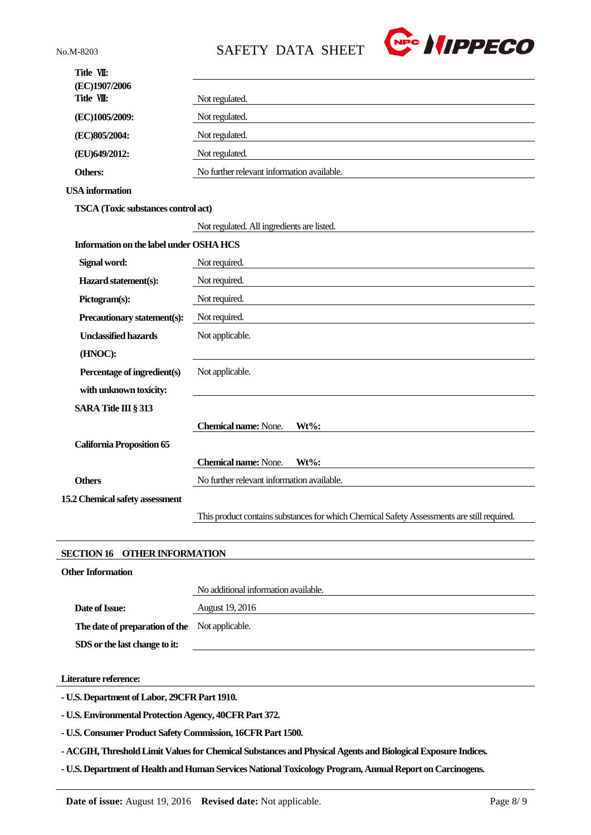

| (EC)1907/2006<br>Title VII:<br>Not regulated.<br>Not regulated.<br>(EC)1005/2009:<br>Not regulated.<br>(EC)805/2004:<br>(EU)649/2012:<br>Not regulated.<br>No further relevant information available.<br>Others:<br><b>USA</b> information<br><b>TSCA</b> (Toxic substances control act)<br>Not regulated. All ingredients are listed.<br>Information on the label under OSHA HCS<br>Signal word:<br>Not required.<br>Hazard statement(s):<br>Not required.<br>Pictogram(s):<br>Not required.<br>Precautionary statement(s):<br>Not required.<br><b>Unclassified hazards</b><br>Not applicable.<br>(HNOC):<br>Percentage of ingredient(s)<br>Not applicable.<br>with unknown toxicity:<br>SARA Title III § 313<br><b>Chemical name: None.</b><br>$Wt\%$ :<br><b>California Proposition 65</b><br><b>Chemical name:</b> None.<br>Wt%:<br>No further relevant information available.<br><b>Others</b><br>This product contains substances for which Chemical Safety Assessments are still required. | Title VII:                      |  |
|---------------------------------------------------------------------------------------------------------------------------------------------------------------------------------------------------------------------------------------------------------------------------------------------------------------------------------------------------------------------------------------------------------------------------------------------------------------------------------------------------------------------------------------------------------------------------------------------------------------------------------------------------------------------------------------------------------------------------------------------------------------------------------------------------------------------------------------------------------------------------------------------------------------------------------------------------------------------------------------------------|---------------------------------|--|
|                                                                                                                                                                                                                                                                                                                                                                                                                                                                                                                                                                                                                                                                                                                                                                                                                                                                                                                                                                                                   |                                 |  |
|                                                                                                                                                                                                                                                                                                                                                                                                                                                                                                                                                                                                                                                                                                                                                                                                                                                                                                                                                                                                   |                                 |  |
|                                                                                                                                                                                                                                                                                                                                                                                                                                                                                                                                                                                                                                                                                                                                                                                                                                                                                                                                                                                                   |                                 |  |
|                                                                                                                                                                                                                                                                                                                                                                                                                                                                                                                                                                                                                                                                                                                                                                                                                                                                                                                                                                                                   |                                 |  |
|                                                                                                                                                                                                                                                                                                                                                                                                                                                                                                                                                                                                                                                                                                                                                                                                                                                                                                                                                                                                   |                                 |  |
|                                                                                                                                                                                                                                                                                                                                                                                                                                                                                                                                                                                                                                                                                                                                                                                                                                                                                                                                                                                                   |                                 |  |
|                                                                                                                                                                                                                                                                                                                                                                                                                                                                                                                                                                                                                                                                                                                                                                                                                                                                                                                                                                                                   |                                 |  |
|                                                                                                                                                                                                                                                                                                                                                                                                                                                                                                                                                                                                                                                                                                                                                                                                                                                                                                                                                                                                   |                                 |  |
|                                                                                                                                                                                                                                                                                                                                                                                                                                                                                                                                                                                                                                                                                                                                                                                                                                                                                                                                                                                                   |                                 |  |
|                                                                                                                                                                                                                                                                                                                                                                                                                                                                                                                                                                                                                                                                                                                                                                                                                                                                                                                                                                                                   |                                 |  |
|                                                                                                                                                                                                                                                                                                                                                                                                                                                                                                                                                                                                                                                                                                                                                                                                                                                                                                                                                                                                   |                                 |  |
|                                                                                                                                                                                                                                                                                                                                                                                                                                                                                                                                                                                                                                                                                                                                                                                                                                                                                                                                                                                                   |                                 |  |
|                                                                                                                                                                                                                                                                                                                                                                                                                                                                                                                                                                                                                                                                                                                                                                                                                                                                                                                                                                                                   |                                 |  |
|                                                                                                                                                                                                                                                                                                                                                                                                                                                                                                                                                                                                                                                                                                                                                                                                                                                                                                                                                                                                   |                                 |  |
|                                                                                                                                                                                                                                                                                                                                                                                                                                                                                                                                                                                                                                                                                                                                                                                                                                                                                                                                                                                                   |                                 |  |
|                                                                                                                                                                                                                                                                                                                                                                                                                                                                                                                                                                                                                                                                                                                                                                                                                                                                                                                                                                                                   |                                 |  |
|                                                                                                                                                                                                                                                                                                                                                                                                                                                                                                                                                                                                                                                                                                                                                                                                                                                                                                                                                                                                   |                                 |  |
|                                                                                                                                                                                                                                                                                                                                                                                                                                                                                                                                                                                                                                                                                                                                                                                                                                                                                                                                                                                                   |                                 |  |
|                                                                                                                                                                                                                                                                                                                                                                                                                                                                                                                                                                                                                                                                                                                                                                                                                                                                                                                                                                                                   |                                 |  |
|                                                                                                                                                                                                                                                                                                                                                                                                                                                                                                                                                                                                                                                                                                                                                                                                                                                                                                                                                                                                   |                                 |  |
|                                                                                                                                                                                                                                                                                                                                                                                                                                                                                                                                                                                                                                                                                                                                                                                                                                                                                                                                                                                                   |                                 |  |
|                                                                                                                                                                                                                                                                                                                                                                                                                                                                                                                                                                                                                                                                                                                                                                                                                                                                                                                                                                                                   |                                 |  |
|                                                                                                                                                                                                                                                                                                                                                                                                                                                                                                                                                                                                                                                                                                                                                                                                                                                                                                                                                                                                   |                                 |  |
|                                                                                                                                                                                                                                                                                                                                                                                                                                                                                                                                                                                                                                                                                                                                                                                                                                                                                                                                                                                                   | 15.2 Chemical safety assessment |  |
|                                                                                                                                                                                                                                                                                                                                                                                                                                                                                                                                                                                                                                                                                                                                                                                                                                                                                                                                                                                                   |                                 |  |
|                                                                                                                                                                                                                                                                                                                                                                                                                                                                                                                                                                                                                                                                                                                                                                                                                                                                                                                                                                                                   |                                 |  |

# **SECTION 16 OTHER INFORMATION**

| <b>Other Information</b>                       |                                      |
|------------------------------------------------|--------------------------------------|
|                                                | No additional information available. |
| Date of Issue:                                 | August 19, 2016                      |
| The date of preparation of the Not applicable. |                                      |
| SDS or the last change to it:                  |                                      |
|                                                |                                      |

**Literature reference:**

**- U.S. Department of Labor, 29CFR Part 1910.**

**- U.S. Environmental Protection Agency, 40CFR Part 372.**

**- U.S. Consumer Product Safety Commission, 16CFR Part 1500.**

**- ACGIH, Threshold Limit Values for Chemical Substances and Physical Agents and Biological Exposure Indices.**

**- U.S. Department of Health and Human Services National Toxicology Program, Annual Report on Carcinogens.**